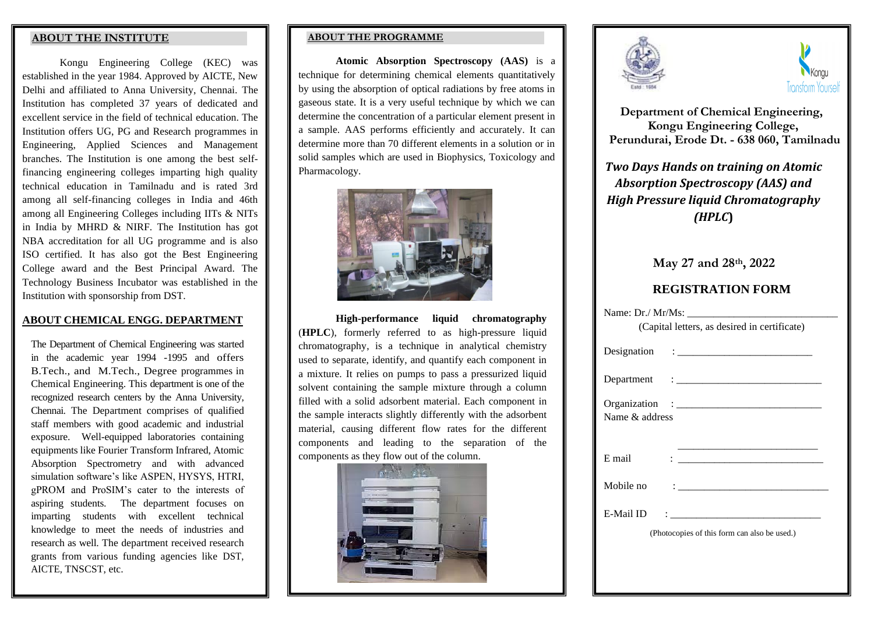#### **ABOUT THE INSTITUTE**

Kongu Engineering College (KEC) was established in the year 1984. Approved by AICTE, New Delhi and affiliated to Anna University, Chennai. The Institution has completed 37 years of dedicated and excellent service in the field of technical education. The Institution offers UG, PG and Research programmes in Engineering, Applied Sciences and Management branches. The Institution is one among the best selffinancing engineering colleges imparting high quality technical education in Tamilnadu and is rated 3rd among all self-financing colleges in India and 46th among all Engineering Colleges including IITs & NITs in India by MHRD & NIRF. The Institution has got NBA accreditation for all UG programme and is also ISO certified. It has also got the Best Engineering College award and the Best Principal Award. The Technology Business Incubator was established in the Institution with sponsorship from DST.

#### **ABOUT CHEMICAL ENGG. DEPARTMENT**

The Department of Chemical Engineering was started in the academic year 1994 -1995 and offers B.Tech., and M.Tech., Degree programmes in Chemical Engineering. This department is one of the recognized research centers by the Anna University, Chennai. The Department comprises of qualified staff members with good academic and industrial exposure. Well-equipped laboratories containing equipments like Fourier Transform Infrared, Atomic Absorption Spectrometry and with advanced simulation software's like ASPEN, HYSYS, HTRI, gPROM and ProSIM's cater to the interests of aspiring students. The department focuses on imparting students with excellent technical knowledge to meet the needs of industries and research as well. The department received research grants from various funding agencies like DST, AICTE, TNSCST, etc.

#### **ABOUT THE PROGRAMME**

**Atomic Absorption Spectroscopy (AAS)** is a technique for determining chemical elements quantitatively by using the absorption of optical radiations by free atoms in gaseous state. It is a very useful technique by which we can determine the concentration of a particular element present in a sample. AAS performs efficiently and accurately. It can determine more than 70 different elements in a solution or in solid samples which are used in Biophysics, Toxicology and Pharmacology.



**High-performance liquid chromatography** (**HPLC**), formerly referred to as high-pressure liquid chromatography, is a technique in [analytical chemistry](https://en.wikipedia.org/wiki/Analytical_chemistry) used to separate, identify, and quantify each component in a mixture. It relies on pumps to pass a pressurized liquid [solvent](https://en.wikipedia.org/wiki/Solvent) containing the sample mixture through a column filled with a solid [adsorbent material.](https://en.wikipedia.org/wiki/Adsorption) Each component in the sample interacts slightly differently with the adsorbent material, causing different flow rates for the different components and leading to the separation of the components as they flow out of the column.







 **Department of Chemical Engineering, Kongu Engineering College, Perundurai, Erode Dt. - 638 060, Tamilnadu**

*Two Days Hands on training on Atomic Absorption Spectroscopy (AAS) and High Pressure liquid Chromatography (HPLC***)**

| May 27 and 28th, 2022 |  |  |  |
|-----------------------|--|--|--|
|-----------------------|--|--|--|

## **REGISTRATION FORM**

| (Capital letters, as desired in certificate)                                                                                                                                                                                                                                                                                                                                                                    |  |  |  |
|-----------------------------------------------------------------------------------------------------------------------------------------------------------------------------------------------------------------------------------------------------------------------------------------------------------------------------------------------------------------------------------------------------------------|--|--|--|
| Designation : $\frac{1}{\sqrt{1-\frac{1}{2}}}\left\{ \frac{1}{2}, \frac{1}{2}, \frac{1}{2}, \frac{1}{2}, \frac{1}{2}, \frac{1}{2}, \frac{1}{2}, \frac{1}{2}, \frac{1}{2}, \frac{1}{2}, \frac{1}{2}, \frac{1}{2}, \frac{1}{2}, \frac{1}{2}, \frac{1}{2}, \frac{1}{2}, \frac{1}{2}, \frac{1}{2}, \frac{1}{2}, \frac{1}{2}, \frac{1}{2}, \frac{1}{2}, \frac{1}{2}, \frac{1}{2}, \frac{1}{2}, \frac{1}{2}, \frac{1$ |  |  |  |
|                                                                                                                                                                                                                                                                                                                                                                                                                 |  |  |  |
| Name $\&$ address                                                                                                                                                                                                                                                                                                                                                                                               |  |  |  |
| E mail                                                                                                                                                                                                                                                                                                                                                                                                          |  |  |  |
| Mobile no<br>Design and the control of the control of the                                                                                                                                                                                                                                                                                                                                                       |  |  |  |
| <b>E-Mail ID</b>                                                                                                                                                                                                                                                                                                                                                                                                |  |  |  |
| (Photocopies of this form can also be used.)                                                                                                                                                                                                                                                                                                                                                                    |  |  |  |